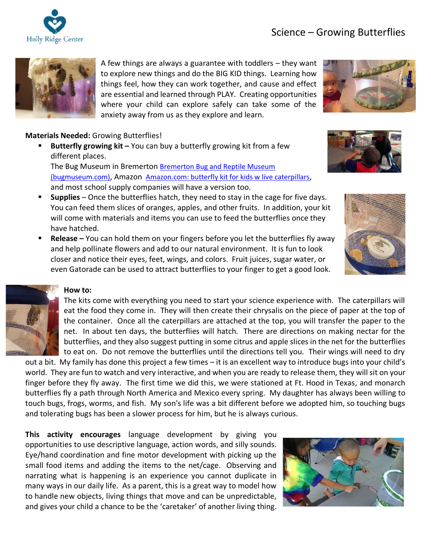# Science – Growing Butterflies





A few things are always a guarantee with toddlers – they want to explore new things and do the BIG KID things. Learning how things feel, how they can work together, and cause and effect are essential and learned through PLAY. Creating opportunities where your child can explore safely can take some of the anxiety away from us as they explore and learn.

# **Materials Needed:** Growing Butterflies!

**Butterfly growing kit –** You can buy a butterfly growing kit from a few different places.

The Bug Museum in Bremerton [Bremerton Bug and Reptile Museum](http://www.bugmuseum.com/)  [\(bugmuseum.com\)](http://www.bugmuseum.com/), Amazon [Amazon.com: butterfly kit for kids w live caterpillars](https://www.amazon.com/s?k=butterfly+kit+for+kids+w+live+caterpillars&crid=2P6SHFBBDHRVN&sprefix=butter%2Caps%2C135&ref=nb_sb_ss_ts-doa-p_1_6), and most school supply companies will have a version too.

- **Supplies** Once the butterflies hatch, they need to stay in the cage for five days. You can feed them slices of oranges, apples, and other fruits. In addition, your kit will come with materials and items you can use to feed the butterflies once they have hatched.
- **Release –** You can hold them on your fingers before you let the butterflies fly away and help pollinate flowers and add to our natural environment. It is fun to look closer and notice their eyes, feet, wings, and colors. Fruit juices, sugar water, or even Gatorade can be used to attract butterflies to your finger to get a good look.





# **How to:**



The kits come with everything you need to start your science experience with. The caterpillars will eat the food they come in. They will then create their chrysalis on the piece of paper at the top of the container. Once all the caterpillars are attached at the top, you will transfer the paper to the net. In about ten days, the butterflies will hatch. There are directions on making nectar for the butterflies, and they also suggest putting in some citrus and apple slices in the net for the butterflies to eat on. Do not remove the butterflies until the directions tell you. Their wings will need to dry

out a bit. My family has done this project a few times – it is an excellent way to introduce bugs into your child's world. They are fun to watch and very interactive, and when you are ready to release them, they will sit on your finger before they fly away. The first time we did this, we were stationed at Ft. Hood in Texas, and monarch butterflies fly a path through North America and Mexico every spring. My daughter has always been willing to touch bugs, frogs, worms, and fish. My son's life was a bit different before we adopted him, so touching bugs and tolerating bugs has been a slower process for him, but he is always curious.

**This activity encourages** language development by giving you opportunities to use descriptive language, action words, and silly sounds. Eye/hand coordination and fine motor development with picking up the small food items and adding the items to the net/cage. Observing and narrating what is happening is an experience you cannot duplicate in many ways in our daily life. As a parent, this is a great way to model how to handle new objects, living things that move and can be unpredictable, and gives your child a chance to be the 'caretaker' of another living thing.

![](_page_0_Picture_16.jpeg)